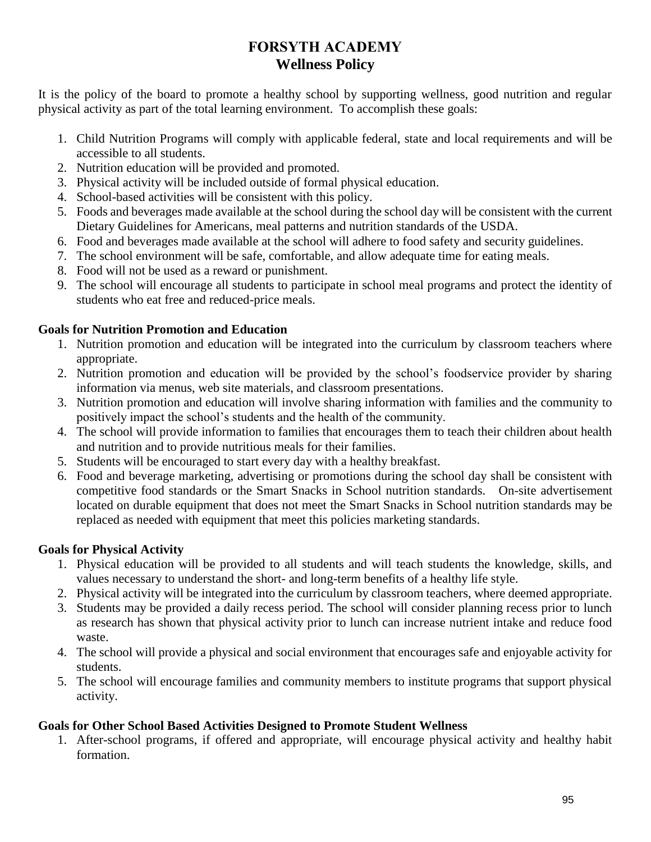# **FORSYTH ACADEMY Wellness Policy**

It is the policy of the board to promote a healthy school by supporting wellness, good nutrition and regular physical activity as part of the total learning environment. To accomplish these goals:

- 1. Child Nutrition Programs will comply with applicable federal, state and local requirements and will be accessible to all students.
- 2. Nutrition education will be provided and promoted.
- 3. Physical activity will be included outside of formal physical education.
- 4. School-based activities will be consistent with this policy.
- 5. Foods and beverages made available at the school during the school day will be consistent with the current Dietary Guidelines for Americans, meal patterns and nutrition standards of the USDA.
- 6. Food and beverages made available at the school will adhere to food safety and security guidelines.
- 7. The school environment will be safe, comfortable, and allow adequate time for eating meals.
- 8. Food will not be used as a reward or punishment.
- 9. The school will encourage all students to participate in school meal programs and protect the identity of students who eat free and reduced-price meals.

## **Goals for Nutrition Promotion and Education**

- 1. Nutrition promotion and education will be integrated into the curriculum by classroom teachers where appropriate.
- 2. Nutrition promotion and education will be provided by the school's foodservice provider by sharing information via menus, web site materials, and classroom presentations.
- 3. Nutrition promotion and education will involve sharing information with families and the community to positively impact the school's students and the health of the community.
- 4. The school will provide information to families that encourages them to teach their children about health and nutrition and to provide nutritious meals for their families.
- 5. Students will be encouraged to start every day with a healthy breakfast.
- 6. Food and beverage marketing, advertising or promotions during the school day shall be consistent with competitive food standards or the Smart Snacks in School nutrition standards. On-site advertisement located on durable equipment that does not meet the Smart Snacks in School nutrition standards may be replaced as needed with equipment that meet this policies marketing standards.

## **Goals for Physical Activity**

- 1. Physical education will be provided to all students and will teach students the knowledge, skills, and values necessary to understand the short- and long-term benefits of a healthy life style.
- 2. Physical activity will be integrated into the curriculum by classroom teachers, where deemed appropriate.
- 3. Students may be provided a daily recess period. The school will consider planning recess prior to lunch as research has shown that physical activity prior to lunch can increase nutrient intake and reduce food waste.
- 4. The school will provide a physical and social environment that encourages safe and enjoyable activity for students.
- 5. The school will encourage families and community members to institute programs that support physical activity.

## **Goals for Other School Based Activities Designed to Promote Student Wellness**

1. After-school programs, if offered and appropriate, will encourage physical activity and healthy habit formation.